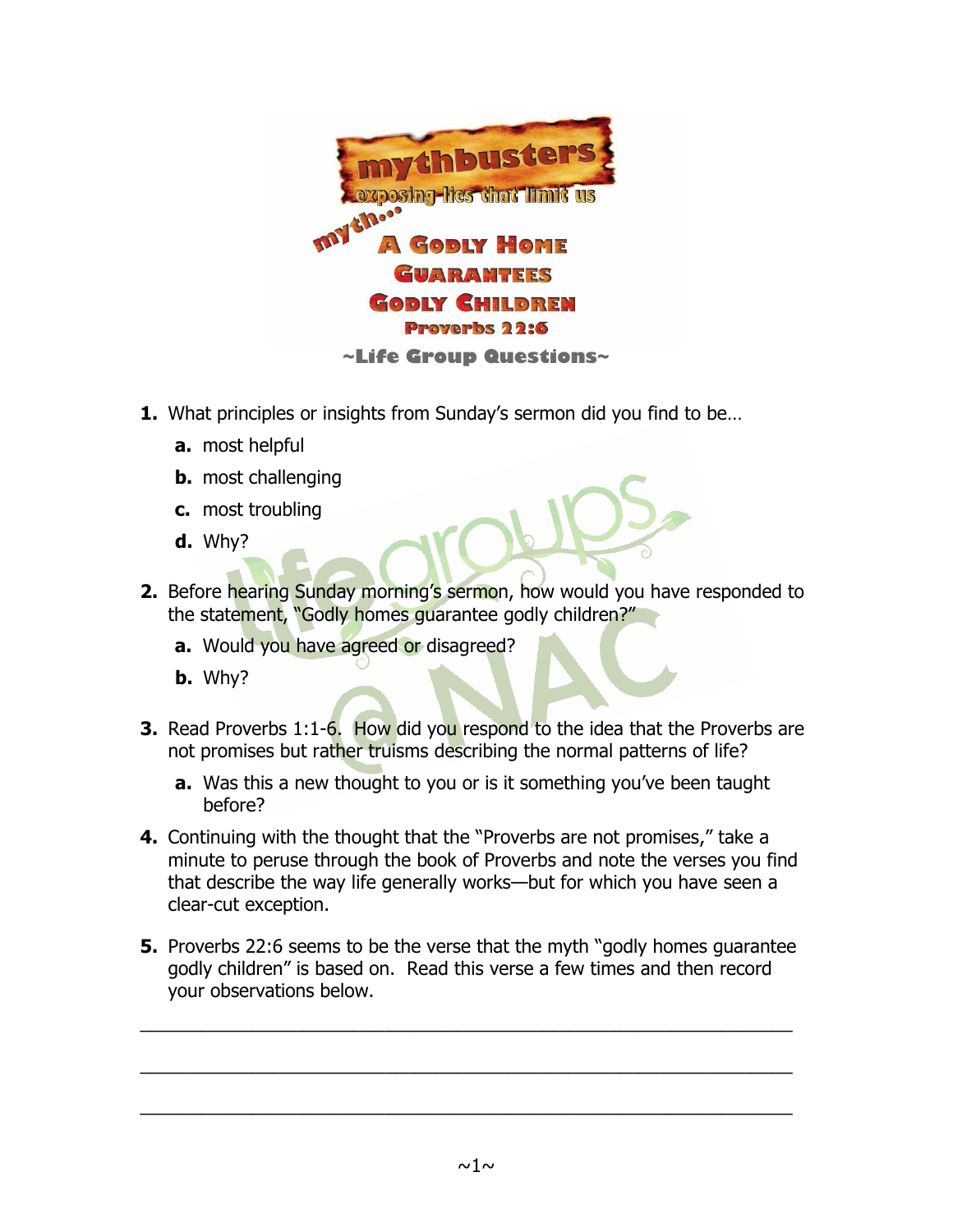

- **1.** What principles or insights from Sunday's sermon did you find to be…
	- **a.** most helpful
	- **b.** most challenging
	- **c.** most troubling
	- **d.** Why?
- **2.** Before hearing Sunday morning's sermon, how would you have responded to the statement, "Godly homes guarantee godly children?"
	- **a.** Would you have agreed or disagreed?
	- **b.** Why?
- **3.** Read Proverbs 1:1-6. How did you respond to the idea that the Proverbs are not promises but rather truisms describing the normal patterns of life?
	- **a.** Was this a new thought to you or is it something you've been taught before?
- **4.** Continuing with the thought that the "Proverbs are not promises," take a minute to peruse through the book of Proverbs and note the verses you find that describe the way life generally works—but for which you have seen a clear-cut exception.
- **5.** Proverbs 22:6 seems to be the verse that the myth "godly homes guarantee godly children" is based on. Read this verse a few times and then record your observations below.

\_\_\_\_\_\_\_\_\_\_\_\_\_\_\_\_\_\_\_\_\_\_\_\_\_\_\_\_\_\_\_\_\_\_\_\_\_\_\_\_\_\_\_\_\_\_\_\_\_\_\_\_\_\_\_\_\_\_\_\_\_\_\_\_

\_\_\_\_\_\_\_\_\_\_\_\_\_\_\_\_\_\_\_\_\_\_\_\_\_\_\_\_\_\_\_\_\_\_\_\_\_\_\_\_\_\_\_\_\_\_\_\_\_\_\_\_\_\_\_\_\_\_\_\_\_\_\_\_

\_\_\_\_\_\_\_\_\_\_\_\_\_\_\_\_\_\_\_\_\_\_\_\_\_\_\_\_\_\_\_\_\_\_\_\_\_\_\_\_\_\_\_\_\_\_\_\_\_\_\_\_\_\_\_\_\_\_\_\_\_\_\_\_